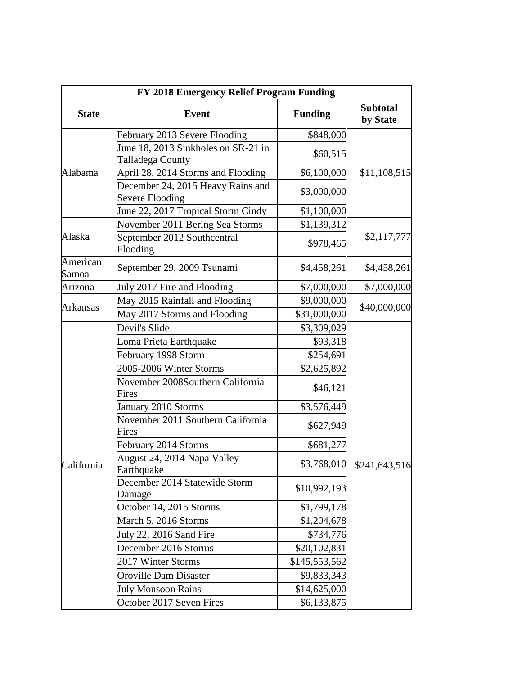| FY 2018 Emergency Relief Program Funding |                                                         |                |                             |  |
|------------------------------------------|---------------------------------------------------------|----------------|-----------------------------|--|
| <b>State</b>                             | <b>Event</b>                                            | <b>Funding</b> | <b>Subtotal</b><br>by State |  |
| Alabama                                  | February 2013 Severe Flooding                           | \$848,000      | \$11,108,515                |  |
|                                          | June 18, 2013 Sinkholes on SR-21 in<br>Talladega County | \$60,515       |                             |  |
|                                          | April 28, 2014 Storms and Flooding                      | \$6,100,000    |                             |  |
|                                          | December 24, 2015 Heavy Rains and<br>Severe Flooding    | \$3,000,000    |                             |  |
|                                          | June 22, 2017 Tropical Storm Cindy                      | \$1,100,000    |                             |  |
|                                          | November 2011 Bering Sea Storms                         | \$1,139,312    |                             |  |
| Alaska                                   | September 2012 Southcentral<br>Flooding                 | \$978,465      | \$2,117,777                 |  |
| American<br>Samoa                        | September 29, 2009 Tsunami                              | \$4,458,261    | \$4,458,261                 |  |
| Arizona                                  | July 2017 Fire and Flooding                             | \$7,000,000    | \$7,000,000                 |  |
| <b>Arkansas</b>                          | May 2015 Rainfall and Flooding                          | \$9,000,000    | \$40,000,000                |  |
|                                          | May 2017 Storms and Flooding                            | \$31,000,000   |                             |  |
|                                          | Devil's Slide                                           | \$3,309,029    | \$241,643,516               |  |
|                                          | Loma Prieta Earthquake                                  | \$93,318       |                             |  |
|                                          | February 1998 Storm                                     | \$254,691      |                             |  |
|                                          | 2005-2006 Winter Storms                                 | \$2,625,892    |                             |  |
|                                          | November 2008Southern California<br>Fires               | \$46,121       |                             |  |
|                                          | January 2010 Storms                                     | \$3,576,449    |                             |  |
|                                          | November 2011 Southern California<br>Fires              | \$627,949      |                             |  |
|                                          | February 2014 Storms                                    | \$681,277      |                             |  |
| California                               | August 24, 2014 Napa Valley<br>Earthquake               | \$3,768,010    |                             |  |
|                                          | December 2014 Statewide Storm<br>Damage                 | \$10,992,193   |                             |  |
|                                          | October 14, 2015 Storms                                 | \$1,799,178    |                             |  |
|                                          | March 5, 2016 Storms                                    | \$1,204,678    |                             |  |
|                                          | July 22, 2016 Sand Fire                                 | \$734,776      |                             |  |
|                                          | December 2016 Storms                                    | \$20,102,831   |                             |  |
|                                          | 2017 Winter Storms                                      | \$145,553,562  |                             |  |
|                                          | <b>Oroville Dam Disaster</b>                            | \$9,833,343    |                             |  |
|                                          | <b>July Monsoon Rains</b>                               | \$14,625,000   |                             |  |
|                                          | October 2017 Seven Fires                                | \$6,133,875    |                             |  |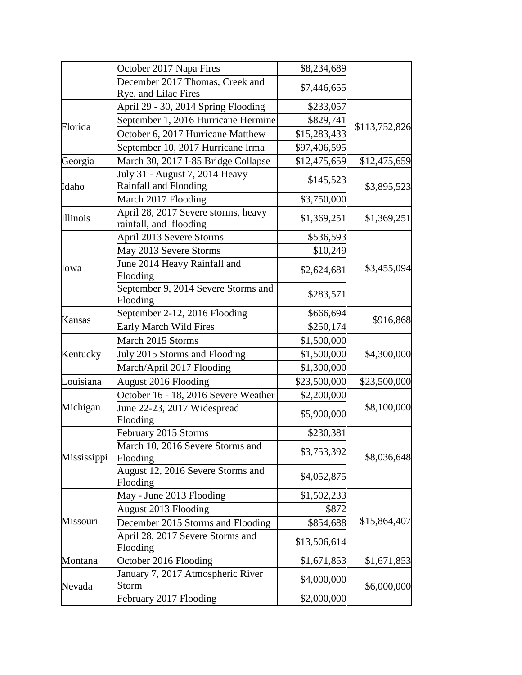|             | October 2017 Napa Fires                                       | \$8,234,689  |               |
|-------------|---------------------------------------------------------------|--------------|---------------|
|             | December 2017 Thomas, Creek and                               | \$7,446,655  |               |
|             | Rye, and Lilac Fires                                          |              |               |
|             | April 29 - 30, 2014 Spring Flooding                           | \$233,057    |               |
| Florida     | September 1, 2016 Hurricane Hermine                           | \$829,741    | \$113,752,826 |
|             | October 6, 2017 Hurricane Matthew                             | \$15,283,433 |               |
|             | September 10, 2017 Hurricane Irma                             | \$97,406,595 |               |
| Georgia     | March 30, 2017 I-85 Bridge Collapse                           | \$12,475,659 | \$12,475,659  |
|             | July 31 - August 7, 2014 Heavy                                | \$145,523    | \$3,895,523   |
| Idaho       | Rainfall and Flooding                                         |              |               |
|             | March 2017 Flooding                                           | \$3,750,000  |               |
| Illinois    | April 28, 2017 Severe storms, heavy<br>rainfall, and flooding | \$1,369,251  | \$1,369,251   |
|             | April 2013 Severe Storms                                      | \$536,593    |               |
|             | May 2013 Severe Storms                                        | \$10,249     |               |
| Iowa        | June 2014 Heavy Rainfall and<br>Flooding                      | \$2,624,681  | \$3,455,094   |
|             | September 9, 2014 Severe Storms and<br>Flooding               | \$283,571    |               |
|             | September 2-12, 2016 Flooding                                 | \$666,694    | \$916,868     |
| Kansas      | <b>Early March Wild Fires</b>                                 | \$250,174    |               |
|             | March 2015 Storms                                             | \$1,500,000  |               |
| Kentucky    | July 2015 Storms and Flooding                                 | \$1,500,000  | \$4,300,000   |
|             | March/April 2017 Flooding                                     | \$1,300,000  |               |
| Louisiana   | <b>August 2016 Flooding</b>                                   | \$23,500,000 | \$23,500,000  |
|             | October 16 - 18, 2016 Severe Weather                          | \$2,200,000  | \$8,100,000   |
| Michigan    | June 22-23, 2017 Widespread<br>Flooding                       | \$5,900,000  |               |
|             | February 2015 Storms                                          | \$230,381    |               |
| Mississippi | March 10, 2016 Severe Storms and<br>Flooding                  | \$3,753,392  | \$8,036,648   |
|             | August 12, 2016 Severe Storms and<br>Flooding                 | \$4,052,875  |               |
|             | May - June 2013 Flooding                                      | \$1,502,233  |               |
|             | <b>August 2013 Flooding</b>                                   | \$872        |               |
| Missouri    | December 2015 Storms and Flooding                             | \$854,688    | \$15,864,407  |
|             | April 28, 2017 Severe Storms and                              | \$13,506,614 |               |
|             | Flooding<br>October 2016 Flooding                             | \$1,671,853  | \$1,671,853   |
| Montana     | January 7, 2017 Atmospheric River                             |              |               |
| Nevada      | <b>Storm</b>                                                  | \$4,000,000  | \$6,000,000   |
|             | February 2017 Flooding                                        | \$2,000,000  |               |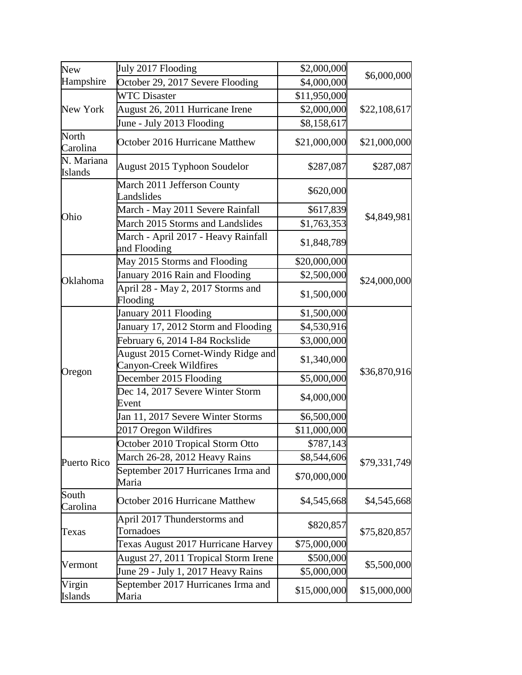| <b>New</b>                   | July 2017 Flooding                                           | \$2,000,000  |              |
|------------------------------|--------------------------------------------------------------|--------------|--------------|
| Hampshire                    | October 29, 2017 Severe Flooding                             | \$4,000,000  | \$6,000,000  |
| New York                     | <b>WTC Disaster</b>                                          | \$11,950,000 |              |
|                              | August 26, 2011 Hurricane Irene                              | \$2,000,000  | \$22,108,617 |
|                              | June - July 2013 Flooding                                    | \$8,158,617  |              |
| North<br>Carolina            | October 2016 Hurricane Matthew                               | \$21,000,000 | \$21,000,000 |
| N. Mariana<br><b>Islands</b> | August 2015 Typhoon Soudelor                                 | \$287,087    | \$287,087    |
|                              | March 2011 Jefferson County<br>Landslides                    | \$620,000    |              |
|                              | March - May 2011 Severe Rainfall                             | \$617,839    |              |
| Ohio                         | March 2015 Storms and Landslides                             | \$1,763,353  | \$4,849,981  |
|                              | March - April 2017 - Heavy Rainfall<br>and Flooding          | \$1,848,789  |              |
|                              | May 2015 Storms and Flooding                                 | \$20,000,000 |              |
| Oklahoma                     | January 2016 Rain and Flooding                               | \$2,500,000  | \$24,000,000 |
|                              | April 28 - May 2, 2017 Storms and<br>Flooding                | \$1,500,000  |              |
|                              | January 2011 Flooding                                        | \$1,500,000  | \$36,870,916 |
|                              | January 17, 2012 Storm and Flooding                          | \$4,530,916  |              |
|                              | February 6, 2014 I-84 Rockslide                              | \$3,000,000  |              |
|                              | August 2015 Cornet-Windy Ridge and<br>Canyon-Creek Wildfires | \$1,340,000  |              |
| Oregon                       | December 2015 Flooding                                       | \$5,000,000  |              |
|                              | Dec 14, 2017 Severe Winter Storm<br>Event                    | \$4,000,000  |              |
|                              | Jan 11, 2017 Severe Winter Storms                            | \$6,500,000  |              |
|                              | 2017 Oregon Wildfires                                        | \$11,000,000 |              |
|                              | October 2010 Tropical Storm Otto                             | \$787,143    |              |
| Puerto Rico                  | March 26-28, 2012 Heavy Rains                                | \$8,544,606  |              |
|                              | September 2017 Hurricanes Irma and<br>Maria                  | \$70,000,000 | \$79,331,749 |
| South<br>Carolina            | October 2016 Hurricane Matthew                               | \$4,545,668  | \$4,545,668  |
| Texas                        | April 2017 Thunderstorms and<br>Tornadoes                    | \$820,857    | \$75,820,857 |
|                              | Texas August 2017 Hurricane Harvey                           | \$75,000,000 |              |
| Vermont                      | August 27, 2011 Tropical Storm Irene                         | \$500,000    | \$5,500,000  |
|                              | June 29 - July 1, 2017 Heavy Rains                           | \$5,000,000  |              |
| Virgin<br><b>Islands</b>     | September 2017 Hurricanes Irma and<br>Maria                  | \$15,000,000 | \$15,000,000 |